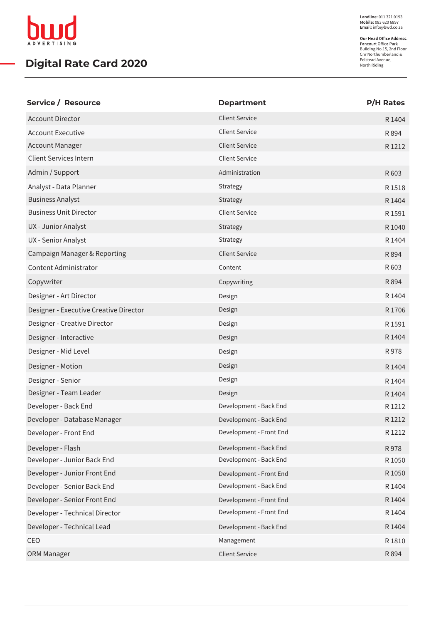

## **Digital Rate Card 2020**

**Landline:** 011 321 0193 **Mobile:** 083 620 6897 **Email:** info@bwd.co.za

Building No.15, 2nd Floor Cnr Northumberland & Felstead Avenue, North Riding

| Service / Resource                     | <b>Department</b>       | <b>P/H Rates</b> |
|----------------------------------------|-------------------------|------------------|
| <b>Account Director</b>                | <b>Client Service</b>   | R 1404           |
| <b>Account Executive</b>               | <b>Client Service</b>   | R 894            |
| <b>Account Manager</b>                 | <b>Client Service</b>   | R 1212           |
| <b>Client Services Intern</b>          | <b>Client Service</b>   |                  |
| Admin / Support                        | Administration          | R 603            |
| Analyst - Data Planner                 | Strategy                | R 1518           |
| <b>Business Analyst</b>                | Strategy                | R 1404           |
| <b>Business Unit Director</b>          | <b>Client Service</b>   | R 1591           |
| UX - Junior Analyst                    | Strategy                | R 1040           |
| UX - Senior Analyst                    | Strategy                | R 1404           |
| Campaign Manager & Reporting           | <b>Client Service</b>   | R 894            |
| Content Administrator                  | Content                 | R 603            |
| Copywriter                             | Copywriting             | R 894            |
| Designer - Art Director                | Design                  | R 1404           |
| Designer - Executive Creative Director | Design                  | R 1706           |
| Designer - Creative Director           | Design                  | R 1591           |
| Designer - Interactive                 | Design                  | R 1404           |
| Designer - Mid Level                   | Design                  | R 978            |
| Designer - Motion                      | Design                  | R 1404           |
| Designer - Senior                      | Design                  | R 1404           |
| Designer - Team Leader                 | Design                  | R 1404           |
| Developer - Back End                   | Development - Back End  | R 1212           |
| Developer - Database Manager           | Development - Back End  | R 1212           |
| Developer - Front End                  | Development - Front End | R 1212           |
| Developer - Flash                      | Development - Back End  | R 978            |
| Developer - Junior Back End            | Development - Back End  | R 1050           |
| Developer - Junior Front End           | Development - Front End | R 1050           |
| Developer - Senior Back End            | Development - Back End  | R 1404           |
| Developer - Senior Front End           | Development - Front End | R 1404           |
| Developer - Technical Director         | Development - Front End | R 1404           |
| Developer - Technical Lead             | Development - Back End  | R 1404           |
| CEO                                    | Management              | R 1810           |
| ORM Manager                            | <b>Client Service</b>   | R 894            |